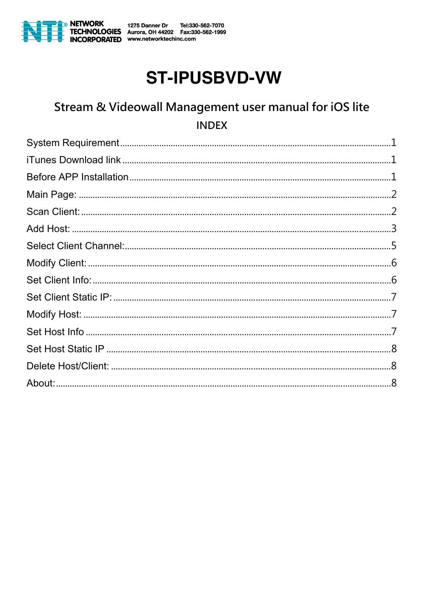

# **ST-IPUSBVD-VW**

# Stream & Videowall Management user manual for iOS lite **INDEX**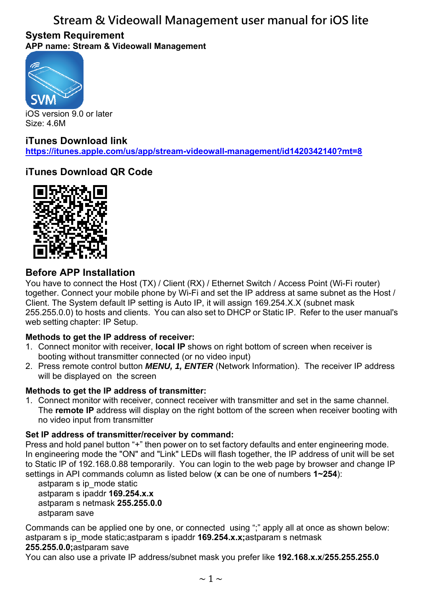#### **System Requirement APP name: Stream & Videowall Management**



iOS version 9.0 or later Size: 4.6M

### **iTunes Download link**

**https://itunes.apple.com/us/app/stream-videowall-management/id1420342140?mt=8**

### **iTunes Download QR Code**



### **Before APP Installation**

You have to connect the Host (TX) / Client (RX) / Ethernet Switch / Access Point (Wi-Fi router) together. Connect your mobile phone by Wi-Fi and set the IP address at same subnet as the Host / Client. The System default IP setting is Auto IP, it will assign 169.254.X.X (subnet mask 255.255.0.0) to hosts and clients. You can also set to DHCP or Static IP. Refer to the user manual's web setting chapter: IP Setup.

#### **Methods to get the IP address of receiver:**

- 1. Connect monitor with receiver, **local IP** shows on right bottom of screen when receiver is booting without transmitter connected (or no video input)
- 2. Press remote control button *MENU, 1, ENTER* (Network Information). The receiver IP address will be displayed on the screen

#### **Methods to get the IP address of transmitter:**

1. Connect monitor with receiver, connect receiver with transmitter and set in the same channel. The **remote IP** address will display on the right bottom of the screen when receiver booting with no video input from transmitter

#### **Set IP address of transmitter/receiver by command:**

Press and hold panel button "+" then power on to set factory defaults and enter engineering mode. In engineering mode the "ON" and "Link" LEDs will flash together, the IP address of unit will be set to Static IP of 192.168.0.88 temporarily. You can login to the web page by browser and change IP settings in API commands column as listed below (**x** can be one of numbers **1~254**):

astparam s ip\_mode static astparam s ipaddr **169.254.x.x** astparam s netmask **255.255.0.0** astparam save

Commands can be applied one by one, or connected using ";" apply all at once as shown below: astparam s ip\_mode static;astparam s ipaddr **169.254.x.x;**astparam s netmask

#### **255.255.0.0;**astparam save

You can also use a private IP address/subnet mask you prefer like **192.168.x.x**/**255.255.255.0**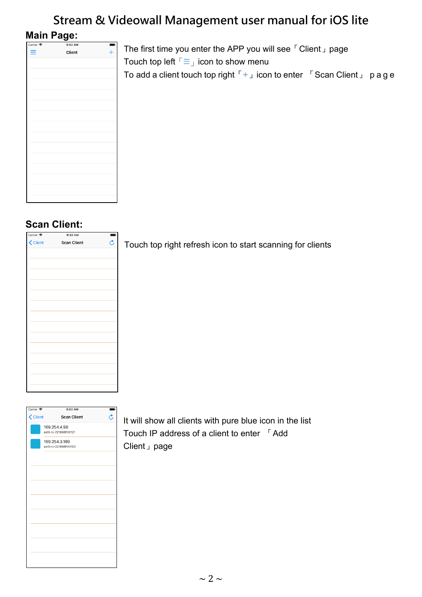### **Main Page:**

| Carrier <sup>•</sup><br>9:52 AM<br>Client<br>Ξ |  |  |
|------------------------------------------------|--|--|
|                                                |  |  |
|                                                |  |  |
|                                                |  |  |
|                                                |  |  |
|                                                |  |  |
|                                                |  |  |
|                                                |  |  |
|                                                |  |  |
|                                                |  |  |
|                                                |  |  |
|                                                |  |  |
|                                                |  |  |
|                                                |  |  |
|                                                |  |  |
|                                                |  |  |
|                                                |  |  |
|                                                |  |  |
|                                                |  |  |
|                                                |  |  |
|                                                |  |  |
|                                                |  |  |
|                                                |  |  |
|                                                |  |  |
|                                                |  |  |
|                                                |  |  |
|                                                |  |  |
|                                                |  |  |
|                                                |  |  |
|                                                |  |  |
|                                                |  |  |
|                                                |  |  |
|                                                |  |  |
|                                                |  |  |
|                                                |  |  |
|                                                |  |  |
|                                                |  |  |
|                                                |  |  |
|                                                |  |  |
|                                                |  |  |
|                                                |  |  |
|                                                |  |  |
|                                                |  |  |
|                                                |  |  |
|                                                |  |  |
|                                                |  |  |

The first time you enter the APP you will see「Client」page Touch top left  $\Gamma \equiv \bot$  icon to show menu To add a client touch top right「**+**」icon to enter 「Scan Client」 p age

### **Scan Client:**

| Carrier <sup>•</sup> | 9:52 AM            | ŋ.                  |
|----------------------|--------------------|---------------------|
| < Client             | <b>Scan Client</b> | $\hat{\mathcal{C}}$ |
|                      |                    |                     |
|                      |                    |                     |
|                      |                    |                     |
|                      |                    |                     |
|                      |                    |                     |
|                      |                    |                     |
|                      |                    |                     |
|                      |                    |                     |
|                      |                    |                     |
|                      |                    |                     |
|                      |                    |                     |
|                      |                    |                     |
|                      |                    |                     |
|                      |                    |                     |
|                      |                    |                     |
|                      |                    |                     |

Touch top right refresh icon to start scanning for clients



It will show all clients with pure blue icon in the list Touch IP address of a client to enter 「Add Client」page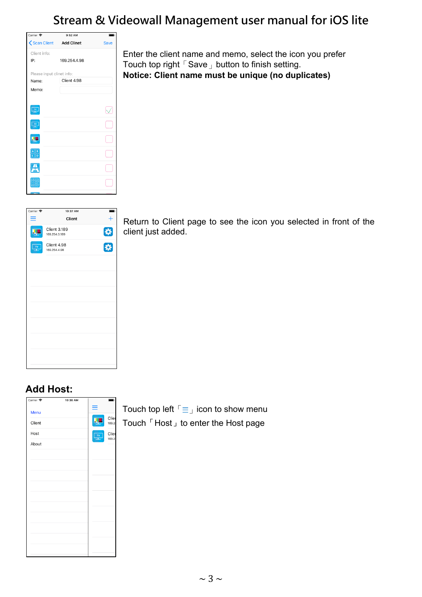| Carrier <b>令</b>                                          | $9:52$ AM    |             |
|-----------------------------------------------------------|--------------|-------------|
| Scan Client Add Clinet                                    |              | <b>Save</b> |
| Client info:                                              |              |             |
| IP:                                                       | 169.254.4.98 |             |
| Please input clinet info:                                 |              |             |
| Name:                                                     | Client 4.98  |             |
| Memo:                                                     |              |             |
|                                                           |              |             |
| $\frac{1}{2}$                                             |              |             |
| 3D                                                        |              |             |
|                                                           |              |             |
| $\begin{array}{c c}\nA & B \\ \hline\nC & D\n\end{array}$ |              |             |
|                                                           |              |             |
|                                                           |              |             |
| <b>The Line</b>                                           |              |             |

Enter the client name and memo, select the icon you prefer Touch top right  $\sqrt{S}$  Save  $\sqrt{S}$  button to finish setting. **Notice: Client name must be unique (no duplicates)**

| Carrier <sup>•</sup> | 10:37 AM                             | ŋ. |
|----------------------|--------------------------------------|----|
|                      | Client                               |    |
|                      | <b>Client 3.189</b><br>169.254.3.189 | 特技 |
| TV                   | Client 4.98<br>169.254.4.98          |    |
|                      |                                      |    |
|                      |                                      |    |
|                      |                                      |    |
|                      |                                      |    |
|                      |                                      |    |
|                      |                                      |    |
|                      |                                      |    |
|                      |                                      |    |
|                      |                                      |    |

Return to Client page to see the icon you selected in front of the client just added.

### **Add Host:**



Touch top left  $\sqrt{2}$  icon to show menu Touch 「Host」to enter the Host page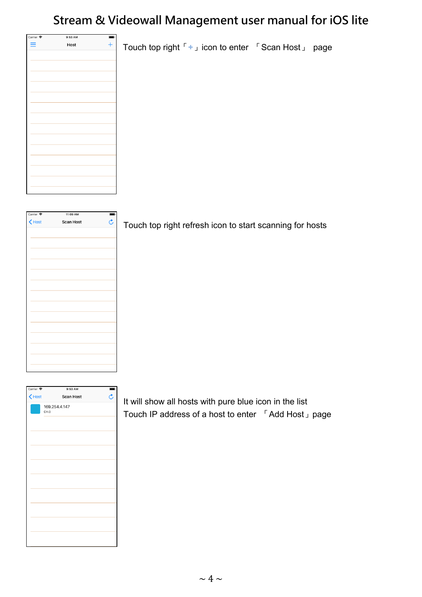Touch top right「**+**」icon to enter 「Scan Host」 page

| Carrier <sup>•</sup> | 9:53 AM | ŋ. |
|----------------------|---------|----|
| ≡                    | Host    |    |
|                      |         |    |
|                      |         |    |
|                      |         |    |
|                      |         |    |
|                      |         |    |
|                      |         |    |
|                      |         |    |
|                      |         |    |
|                      |         |    |
|                      |         |    |
|                      |         |    |
|                      |         |    |
|                      |         |    |
|                      |         |    |
|                      |         |    |
|                      |         |    |
|                      |         |    |
|                      |         |    |
|                      |         |    |
|                      |         |    |
|                      |         |    |
|                      |         |    |

| Carrier <sup>•</sup> | 11:09 AM         |                         |
|----------------------|------------------|-------------------------|
| $\bigwedge$ Host     | <b>Scan Host</b> | $\overline{\mathbf{c}}$ |
|                      |                  |                         |
|                      |                  |                         |
|                      |                  |                         |
|                      |                  |                         |
|                      |                  |                         |
|                      |                  |                         |
|                      |                  |                         |
|                      |                  |                         |
|                      |                  |                         |
|                      |                  |                         |
|                      |                  |                         |
|                      |                  |                         |
|                      |                  |                         |
|                      |                  |                         |
|                      |                  |                         |
|                      |                  |                         |

| Carrier <sup>•</sup>                      | 9:53 AM               |                |
|-------------------------------------------|-----------------------|----------------|
| $\left\langle \mathrm{Host}\right\rangle$ | <b>Scan Host</b>      | $\mathfrak{C}$ |
|                                           | 169.254.4.147<br>CH.0 |                |
|                                           |                       |                |
|                                           |                       |                |
|                                           |                       |                |
|                                           |                       |                |
|                                           |                       |                |
|                                           |                       |                |
|                                           |                       |                |
|                                           |                       |                |
|                                           |                       |                |
|                                           |                       |                |

Touch top right refresh icon to start scanning for hosts

It will show all hosts with pure blue icon in the list Touch IP address of a host to enter 「Add Host」page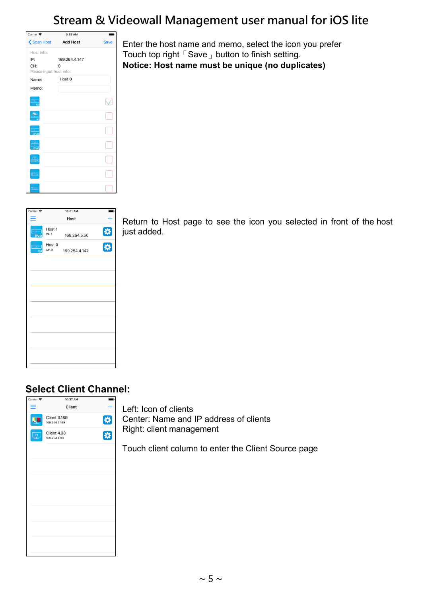

Enter the host name and memo, select the icon you prefer Touch top right  $\sqrt{S}$  Save  $\sqrt{S}$  button to finish setting. **Notice: Host name must be unique (no duplicates)**

| Carrier <sup>•</sup>      |                | 10:01 AM      |   |
|---------------------------|----------------|---------------|---|
| ≕                         |                | Host          |   |
| $\sim 1000$<br><b>DVD</b> | Host 1<br>CH.1 | 169.254.5.56  | ₩ |
| $\leftrightarrow$ [ 40 ]  | Host 0<br>CH.0 | 169.254.4.147 | 吞 |
|                           |                |               |   |
|                           |                |               |   |
|                           |                |               |   |
|                           |                |               |   |
|                           |                |               |   |
|                           |                |               |   |
|                           |                |               |   |
|                           |                |               |   |

Return to Host page to see the icon you selected in front of the host just added.

### **Select Client Channel:**



Left: Icon of clients Center: Name and IP address of clients Right: client management

Touch client column to enter the Client Source page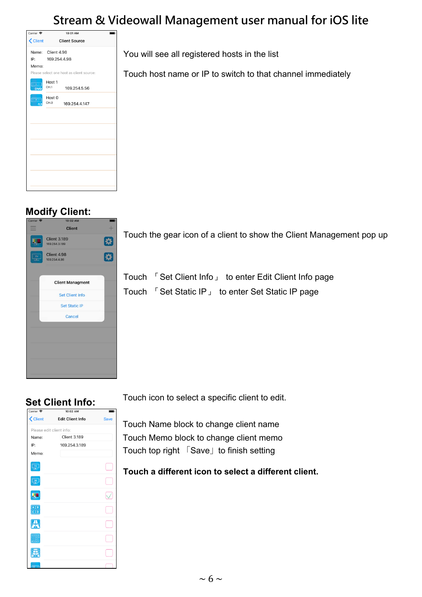Touch host name or IP to switch to that channel immediately

You will see all registered hosts in the list

| Carrier <sup>•</sup>                    | 10:01 AM                                 |  |
|-----------------------------------------|------------------------------------------|--|
| <b>&lt; Client</b>                      | <b>Client Source</b>                     |  |
|                                         | Name: Client 4.98                        |  |
|                                         | IP: 169.254.4.98                         |  |
| Memo:                                   |                                          |  |
|                                         | Please select one host as client source: |  |
| $\leftarrow$ $\leftarrow$<br><b>DVD</b> | Host 1<br>CH.1<br>169.254.5.56           |  |
|                                         | Host 0<br>CH.0<br>169.254.4.147          |  |
|                                         |                                          |  |
|                                         |                                          |  |
|                                         |                                          |  |
|                                         |                                          |  |
|                                         |                                          |  |
|                                         |                                          |  |
|                                         |                                          |  |
|                                         |                                          |  |

### **Modify Client:**



Touch the gear icon of a client to show the Client Management pop up

Touch 「Set Client Info」 to enter Edit Client Info page Touch 「Set Static IP」 to enter Set Static IP page

### **Set Client Info:**

| Carrier <b>←</b>                               | 10:02 AM                 |             |
|------------------------------------------------|--------------------------|-------------|
| <b>く</b> Client                                | <b>Edit Client Info</b>  | <b>Save</b> |
|                                                | Please edit client info: |             |
| Name:                                          | <b>Client 3.189</b>      |             |
| IP:                                            | 169.254.3.189            |             |
| Memo:                                          |                          |             |
| $\mathbf{v}$                                   |                          |             |
|                                                |                          |             |
|                                                |                          |             |
| $A \parallel B$<br>$\overline{\overline{c}}$ o |                          |             |
|                                                |                          |             |
|                                                |                          |             |
|                                                |                          |             |
|                                                |                          |             |

Touch icon to select a specific client to edit.

Touch Name block to change client name Touch Memo block to change client memo Touch top right 「Save」to finish setting

**Touch a different icon to select a different client.**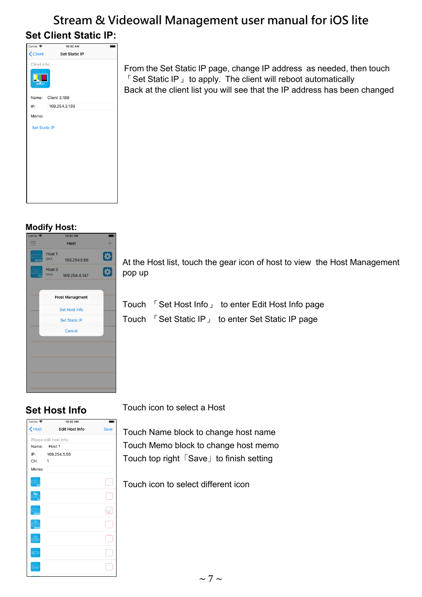# **Stream & Videowall Management user manual for iOS lite Set Client Static IP:**

| Carrier <del>२</del> | 10:02 AM             |  |
|----------------------|----------------------|--|
| <b>く</b> Client      | <b>Set Static IP</b> |  |
| Clinet info:         |                      |  |
|                      |                      |  |
|                      | Name: Client 3.189   |  |
| IP:                  | 169.254.3.189        |  |
| Memo:                |                      |  |
| <b>Set Static IP</b> |                      |  |
|                      |                      |  |
|                      |                      |  |
|                      |                      |  |
|                      |                      |  |
|                      |                      |  |
|                      |                      |  |
|                      |                      |  |
|                      |                      |  |

#### From the Set Static IP page, change IP address as needed, then touch 「Set Static IP」 to apply. The client will reboot automatically Back at the client list you will see that the IP address has been changed

#### **Modify Host:**

| Carrier <b>ह</b> | 10:02 AM                                   |                 |
|------------------|--------------------------------------------|-----------------|
|                  | <b>Host</b>                                |                 |
| <b>DVD</b>       | Host 1<br>CH.1<br>169.254.5.56             | $\ddot{\bm{x}}$ |
| Ĝ                | Host <sub>0</sub><br>CH.O<br>169.254.4.147 | 3               |
|                  | <b>Host Managment</b>                      |                 |
|                  | Set Host Info                              |                 |
|                  | <b>Set Static IP</b>                       |                 |
|                  | Cancel                                     |                 |
|                  |                                            |                 |
|                  |                                            |                 |
|                  |                                            |                 |
|                  |                                            |                 |
|                  |                                            |                 |

At the Host list, touch the gear icon of host to view the Host Management pop up

Touch 「Set Host Info」 to enter Edit Host Info page Touch 「Set Static IP」 to enter Set Static IP page

### **Set Host Info**



Touch icon to select a Host

Touch Name block to change host name Touch Memo block to change host memo Touch top right 「Save」to finish setting

Touch icon to select different icon